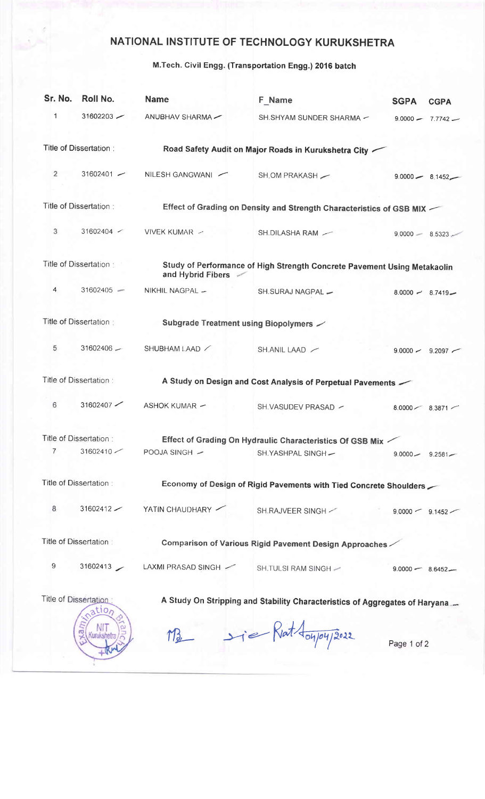## NATIONAL INSTITUTE OF TECHNOLOGY KURUKSHETRA

## M.Tech. Civil Engg. (Transportation Engg.) 2016 batch

| Sr. No.                                                                                                        | Roll No.               | <b>Name</b>                                                 | F Name                                                                   | <b>SGPA</b>         | <b>CGPA</b>         |  |
|----------------------------------------------------------------------------------------------------------------|------------------------|-------------------------------------------------------------|--------------------------------------------------------------------------|---------------------|---------------------|--|
| 1                                                                                                              | $31602203$ $-$         | ANUBHAV SHARMA-                                             | SH.SHYAM SUNDER SHARMA -                                                 | $9.0000 -$          | $7.7742 -$          |  |
|                                                                                                                | Title of Dissertation: |                                                             | Road Safety Audit on Major Roads in Kurukshetra City                     |                     |                     |  |
| 2                                                                                                              | $31602401 -$           | NILESH GANGWANI                                             | SH, OM PRAKASH                                                           |                     | $9.0000 - 8.1452 -$ |  |
|                                                                                                                | Title of Dissertation: |                                                             | Effect of Grading on Density and Strength Characteristics of GSB MIX     |                     |                     |  |
| 3                                                                                                              | $31602404$ $\sim$      | VIVEK KUMAR -                                               | SH.DILASHA RAM -                                                         | $9.0000 -$          | $8.5323 -$          |  |
|                                                                                                                | Title of Dissertation  | and Hybrid Fibers                                           | Study of Performance of High Strength Concrete Pavement Using Metakaolin |                     |                     |  |
| 4                                                                                                              | $31602405 -$           | NIKHIL NAGPAL -                                             | SH.SURAJ NAGPAL -                                                        |                     | $8.0000 - 8.7419 -$ |  |
| Title of Dissertation:                                                                                         |                        | Subgrade Treatment using Biopolymers $\angle$               |                                                                          |                     |                     |  |
| 5                                                                                                              | $31602406 -$           | SHUBHAM LAAD                                                | SH.ANIL LAAD                                                             |                     | $9.0000 - 9.2097$   |  |
| Title of Dissertation:                                                                                         |                        |                                                             | A Study on Design and Cost Analysis of Perpetual Pavements               |                     |                     |  |
| 6                                                                                                              | 31602407               | <b>ASHOK KUMAR -</b>                                        | SH.VASUDEV PRASAD ~                                                      |                     | $8.0000 - 8.3871$   |  |
| Title of Dissertation:                                                                                         |                        | Effect of Grading On Hydraulic Characteristics Of GSB Mix - |                                                                          |                     |                     |  |
| $\overline{7}$                                                                                                 |                        | 31602410 / POOJA SINGH /                                    | SH.YASHPAL SINGH-                                                        | $9.0000 - 9.2581 -$ |                     |  |
|                                                                                                                | Title of Dissertation: |                                                             | Economy of Design of Rigid Pavements with Tied Concrete Shoulders        |                     |                     |  |
| 8                                                                                                              | $31602412$ $-$         | YATIN CHAUDHARY                                             | SH.RAJVEER SINGH $\sim$                                                  | $9.0000 - 9.1452$   |                     |  |
| Title of Dissertation:                                                                                         |                        | Comparison of Various Rigid Pavement Design Approaches      |                                                                          |                     |                     |  |
| 9                                                                                                              |                        | 31602413 / LAXMI PRASAD SINGH /                             | SH.TULSI RAM SINGH -                                                     | $9.0000 - 8.6452 -$ |                     |  |
| Title of Dissertation:<br>A Study On Stripping and Stability Characteristics of Aggregates of Haryana<br>ation |                        |                                                             |                                                                          |                     |                     |  |
|                                                                                                                | ā<br>Kurukshet         |                                                             | M3 sie Riat doupry 2022                                                  | Page 1 of 2         |                     |  |
|                                                                                                                |                        |                                                             |                                                                          |                     |                     |  |